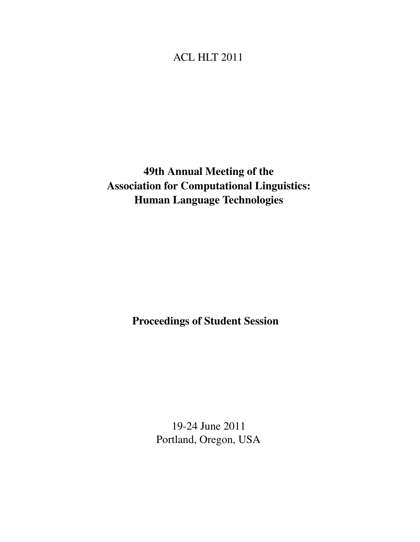## ACL HLT 2011

# 49th Annual Meeting of the Association for Computational Linguistics: Human Language Technologies

Proceedings of Student Session

19-24 June 2011 Portland, Oregon, USA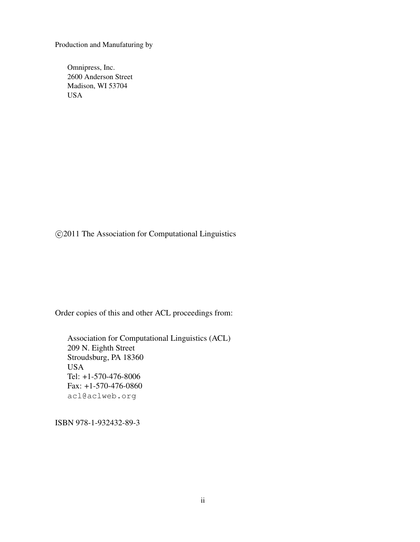Production and Manufaturing by

Omnipress, Inc. 2600 Anderson Street Madison, WI 53704 USA

c 2011 The Association for Computational Linguistics

Order copies of this and other ACL proceedings from:

Association for Computational Linguistics (ACL) 209 N. Eighth Street Stroudsburg, PA 18360 USA Tel: +1-570-476-8006 Fax: +1-570-476-0860 acl@aclweb.org

ISBN 978-1-932432-89-3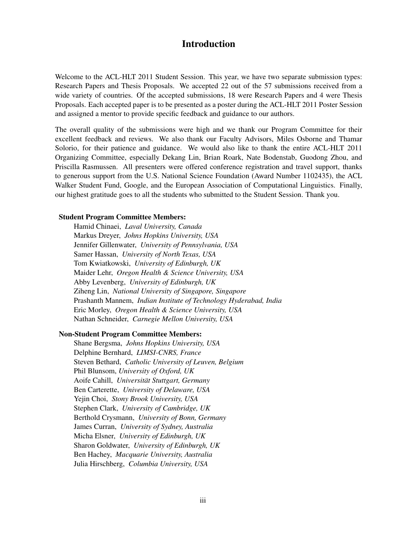### Introduction

Welcome to the ACL-HLT 2011 Student Session. This year, we have two separate submission types: Research Papers and Thesis Proposals. We accepted 22 out of the 57 submissions received from a wide variety of countries. Of the accepted submissions, 18 were Research Papers and 4 were Thesis Proposals. Each accepted paper is to be presented as a poster during the ACL-HLT 2011 Poster Session and assigned a mentor to provide specific feedback and guidance to our authors.

The overall quality of the submissions were high and we thank our Program Committee for their excellent feedback and reviews. We also thank our Faculty Advisors, Miles Osborne and Thamar Solorio, for their patience and guidance. We would also like to thank the entire ACL-HLT 2011 Organizing Committee, especially Dekang Lin, Brian Roark, Nate Bodenstab, Guodong Zhou, and Priscilla Rasmussen. All presenters were offered conference registration and travel support, thanks to generous support from the U.S. National Science Foundation (Award Number 1102435), the ACL Walker Student Fund, Google, and the European Association of Computational Linguistics. Finally, our highest gratitude goes to all the students who submitted to the Student Session. Thank you.

### Student Program Committee Members:

Hamid Chinaei, *Laval University, Canada* Markus Dreyer, *Johns Hopkins University, USA* Jennifer Gillenwater, *University of Pennsylvania, USA* Samer Hassan, *University of North Texas, USA* Tom Kwiatkowski, *University of Edinburgh, UK* Maider Lehr, *Oregon Health & Science University, USA* Abby Levenberg, *University of Edinburgh, UK* Ziheng Lin, *National University of Singapore, Singapore* Prashanth Mannem, *Indian Institute of Technology Hyderabad, India* Eric Morley, *Oregon Health & Science University, USA* Nathan Schneider, *Carnegie Mellon University, USA*

### Non-Student Program Committee Members:

Shane Bergsma, *Johns Hopkins University, USA* Delphine Bernhard, *LIMSI-CNRS, France* Steven Bethard, *Catholic University of Leuven, Belgium* Phil Blunsom, *University of Oxford, UK* Aoife Cahill, *Universitat Stuttgart, Germany ¨* Ben Carterette, *University of Delaware, USA* Yejin Choi, *Stony Brook University, USA* Stephen Clark, *University of Cambridge, UK* Berthold Crysmann, *University of Bonn, Germany* James Curran, *University of Sydney, Australia* Micha Elsner, *University of Edinburgh, UK* Sharon Goldwater, *University of Edinburgh, UK* Ben Hachey, *Macquarie University, Australia* Julia Hirschberg, *Columbia University, USA*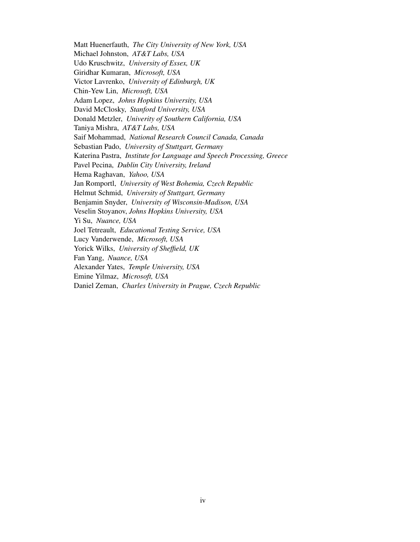Matt Huenerfauth, *The City University of New York, USA* Michael Johnston, *AT&T Labs, USA* Udo Kruschwitz, *University of Essex, UK* Giridhar Kumaran, *Microsoft, USA* Victor Lavrenko, *University of Edinburgh, UK* Chin-Yew Lin, *Microsoft, USA* Adam Lopez, *Johns Hopkins University, USA* David McClosky, *Stanford University, USA* Donald Metzler, *Univerity of Southern California, USA* Taniya Mishra, *AT&T Labs, USA* Saif Mohammad, *National Research Council Canada, Canada* Sebastian Pado, *University of Stuttgart, Germany* Katerina Pastra, *Institute for Language and Speech Processing, Greece* Pavel Pecina, *Dublin City University, Ireland* Hema Raghavan, *Yahoo, USA* Jan Romportl, *University of West Bohemia, Czech Republic* Helmut Schmid, *University of Stuttgart, Germany* Benjamin Snyder, *University of Wisconsin-Madison, USA* Veselin Stoyanov, *Johns Hopkins University, USA* Yi Su, *Nuance, USA* Joel Tetreault, *Educational Testing Service, USA* Lucy Vanderwende, *Microsoft, USA* Yorick Wilks, *University of Sheffield, UK* Fan Yang, *Nuance, USA* Alexander Yates, *Temple University, USA* Emine Yilmaz, *Microsoft, USA* Daniel Zeman, *Charles University in Prague, Czech Republic*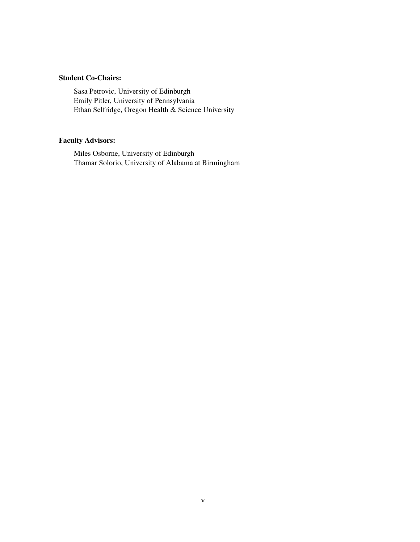### Student Co-Chairs:

Sasa Petrovic, University of Edinburgh Emily Pitler, University of Pennsylvania Ethan Selfridge, Oregon Health & Science University

### Faculty Advisors:

Miles Osborne, University of Edinburgh Thamar Solorio, University of Alabama at Birmingham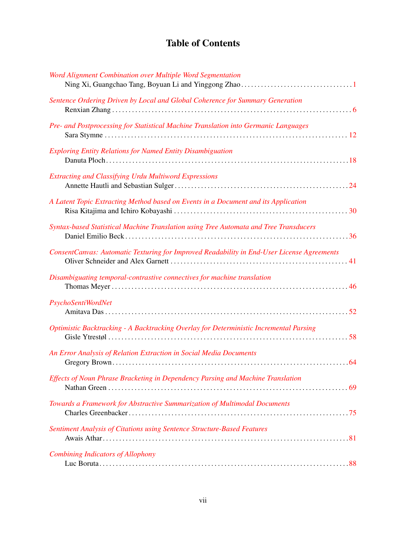## Table of Contents

| Word Alignment Combination over Multiple Word Segmentation                                 |
|--------------------------------------------------------------------------------------------|
| Sentence Ordering Driven by Local and Global Coherence for Summary Generation              |
| Pre- and Postprocessing for Statistical Machine Translation into Germanic Languages        |
| <b>Exploring Entity Relations for Named Entity Disambiguation</b>                          |
| <b>Extracting and Classifying Urdu Multiword Expressions</b>                               |
| A Latent Topic Extracting Method based on Events in a Document and its Application         |
| Syntax-based Statistical Machine Translation using Tree Automata and Tree Transducers      |
| ConsentCanvas: Automatic Texturing for Improved Readability in End-User License Agreements |
| Disambiguating temporal-contrastive connectives for machine translation                    |
| PsychoSentiWordNet                                                                         |
| Optimistic Backtracking - A Backtracking Overlay for Deterministic Incremental Parsing     |
| An Error Analysis of Relation Extraction in Social Media Documents                         |
| Effects of Noun Phrase Bracketing in Dependency Parsing and Machine Translation            |
| Towards a Framework for Abstractive Summarization of Multimodal Documents                  |
| Sentiment Analysis of Citations using Sentence Structure-Based Features                    |
| <b>Combining Indicators of Allophony</b>                                                   |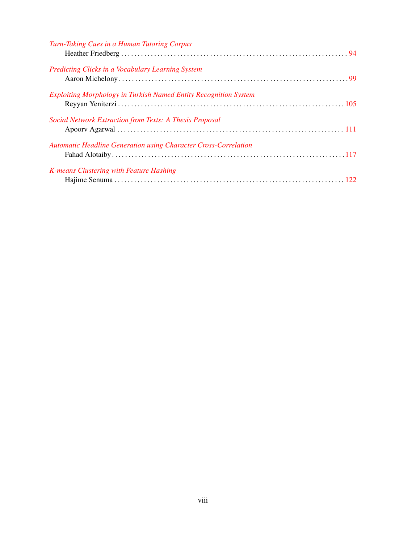| Turn-Taking Cues in a Human Tutoring Corpus                            |  |
|------------------------------------------------------------------------|--|
| Predicting Clicks in a Vocabulary Learning System                      |  |
| Exploiting Morphology in Turkish Named Entity Recognition System       |  |
| Social Network Extraction from Texts: A Thesis Proposal                |  |
| <b>Automatic Headline Generation using Character Cross-Correlation</b> |  |
| K-means Clustering with Feature Hashing                                |  |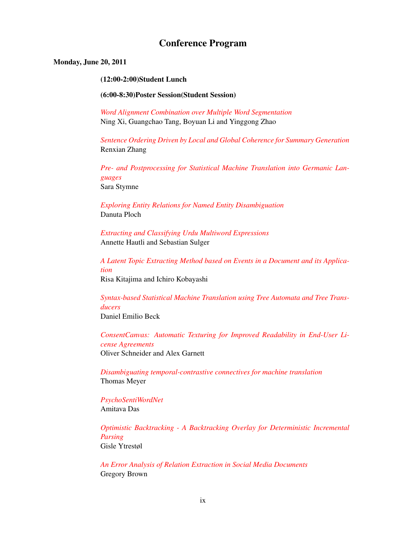## Conference Program

### Monday, June 20, 2011

#### (12:00-2:00)Student Lunch

#### (6:00-8:30)Poster Session(Student Session)

*Word Alignment Combination over Multiple Word Segmentation* Ning Xi, Guangchao Tang, Boyuan Li and Yinggong Zhao

*Sentence Ordering Driven by Local and Global Coherence for Summary Generation* Renxian Zhang

*Pre- and Postprocessing for Statistical Machine Translation into Germanic Languages* Sara Stymne

*Exploring Entity Relations for Named Entity Disambiguation* Danuta Ploch

*Extracting and Classifying Urdu Multiword Expressions* Annette Hautli and Sebastian Sulger

*A Latent Topic Extracting Method based on Events in a Document and its Application* Risa Kitajima and Ichiro Kobayashi

*Syntax-based Statistical Machine Translation using Tree Automata and Tree Transducers* Daniel Emilio Beck

*ConsentCanvas: Automatic Texturing for Improved Readability in End-User License Agreements* Oliver Schneider and Alex Garnett

*Disambiguating temporal-contrastive connectives for machine translation* Thomas Meyer

*PsychoSentiWordNet* Amitava Das

*Optimistic Backtracking - A Backtracking Overlay for Deterministic Incremental Parsing* Gisle Ytrestøl

*An Error Analysis of Relation Extraction in Social Media Documents* Gregory Brown